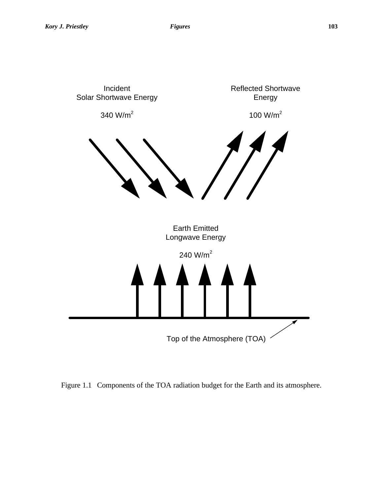

Figure 1.1 Components of the TOA radiation budget for the Earth and its atmosphere.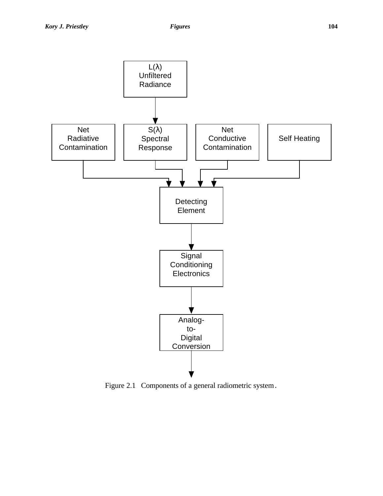

Figure 2.1 Components of a general radiometric system.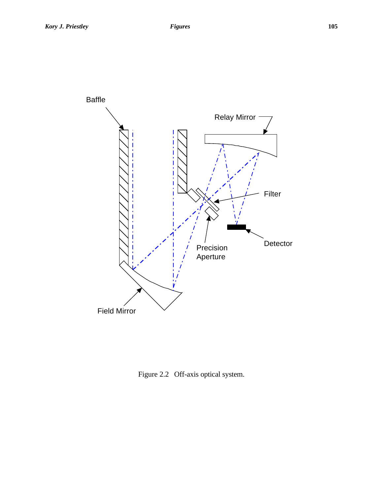

Figure 2.2 Off-axis optical system.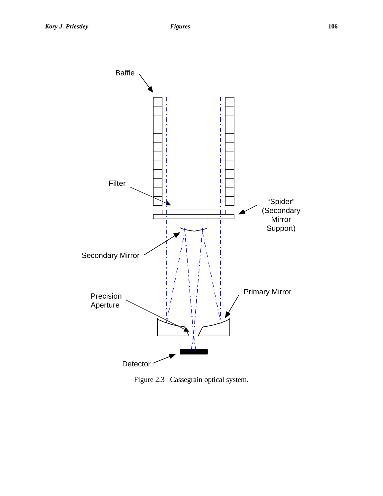

Figure 2.3 Cassegrain optical system.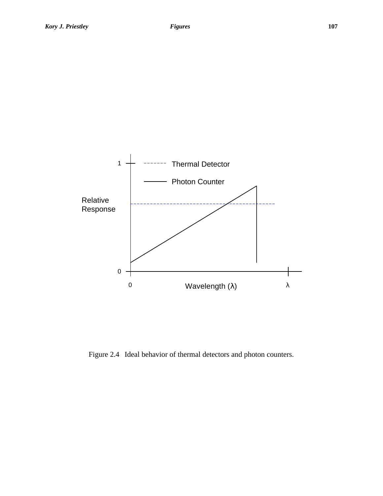

Figure 2.4 Ideal behavior of thermal detectors and photon counters.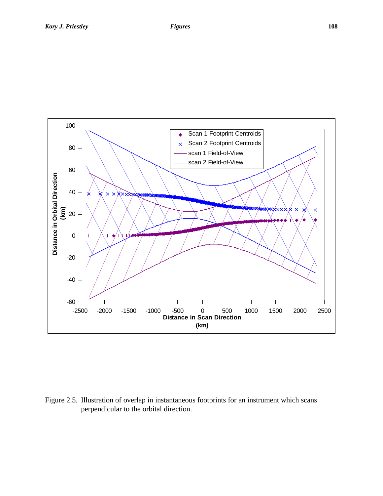

Figure 2.5. Illustration of overlap in instantaneous footprints for an instrument which scans perpendicular to the orbital direction.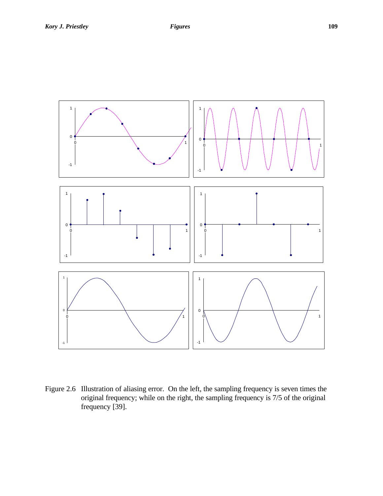

Figure 2.6 Illustration of aliasing error. On the left, the sampling frequency is seven times the original frequency; while on the right, the sampling frequency is 7/5 of the original frequency [39].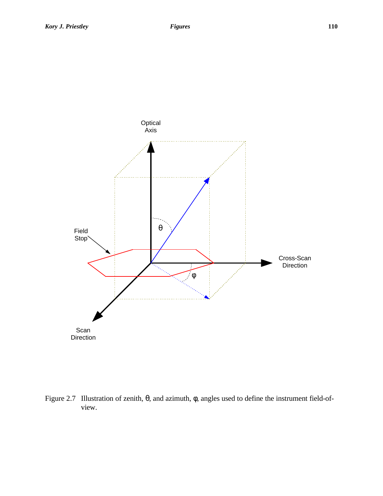

Figure 2.7 Illustration of zenith, θ, and azimuth, φ, angles used to define the instrument field-ofview.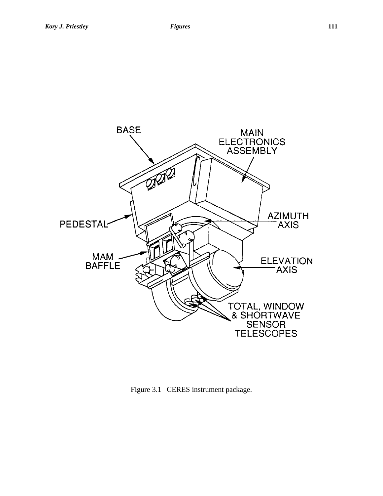

Figure 3.1 CERES instrument package.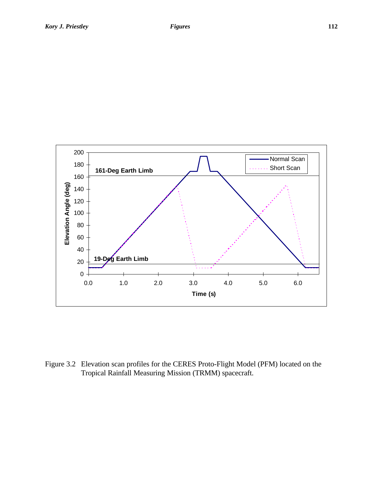



Figure 3.2 Elevation scan profiles for the CERES Proto-Flight Model (PFM) located on the Tropical Rainfall Measuring Mission (TRMM) spacecraft.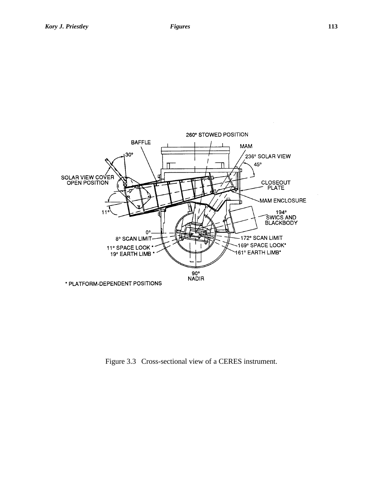

Figure 3.3 Cross-sectional view of a CERES instrument.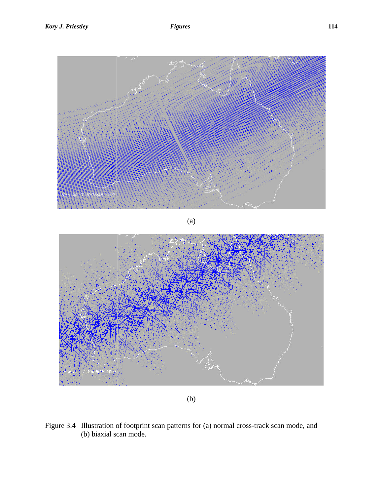

(b)

Figure 3.4 Illustration of footprint scan patterns for (a) normal cross-track scan mode, and (b) biaxial scan mode.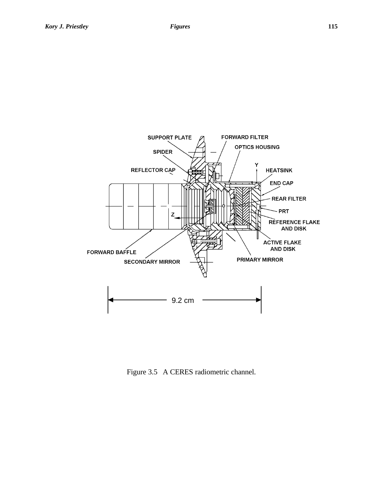

Figure 3.5 A CERES radiometric channel.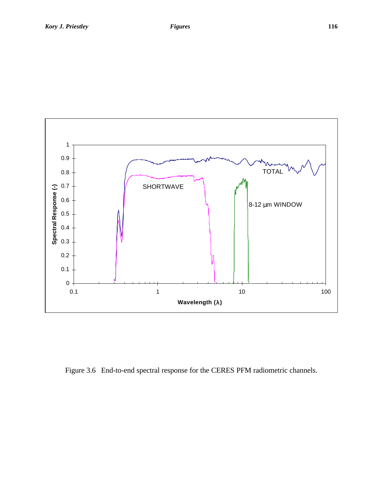

Figure 3.6 End-to-end spectral response for the CERES PFM radiometric channels.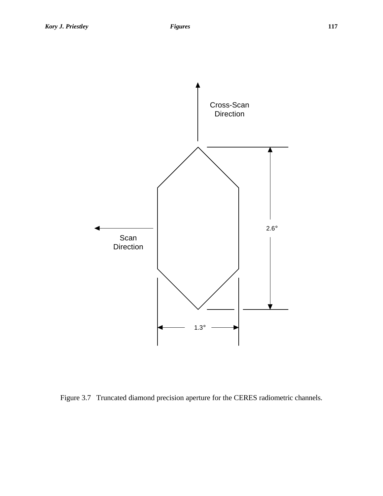

Figure 3.7 Truncated diamond precision aperture for the CERES radiometric channels.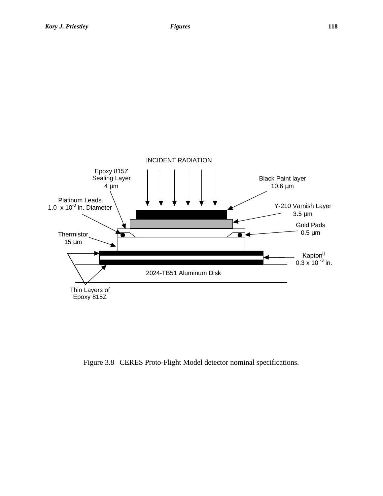



Figure 3.8 CERES Proto-Flight Model detector nominal specifications.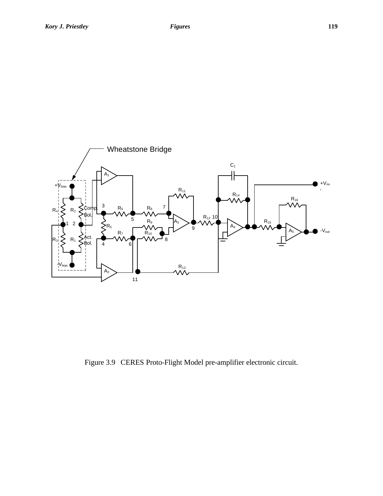



Figure 3.9 CERES Proto-Flight Model pre-amplifier electronic circuit.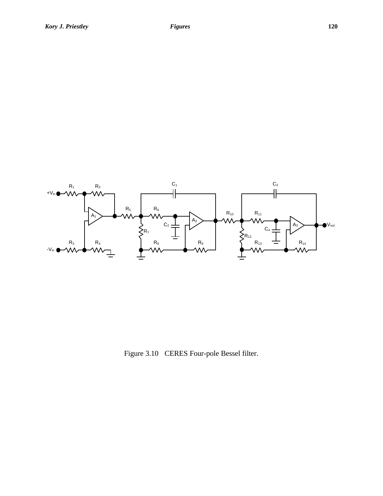



Figure 3.10 CERES Four-pole Bessel filter.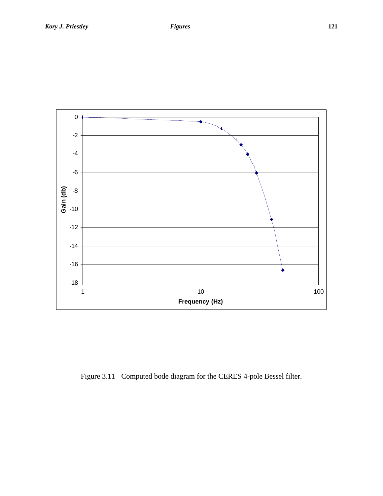

Figure 3.11 Computed bode diagram for the CERES 4-pole Bessel filter.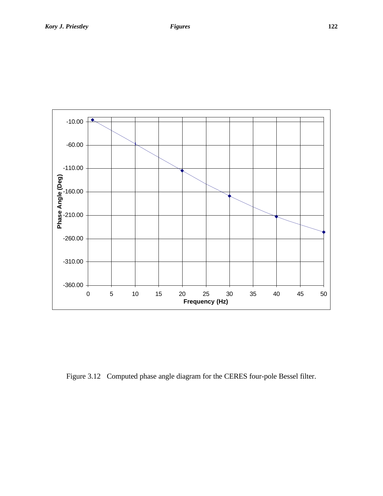

Figure 3.12 Computed phase angle diagram for the CERES four-pole Bessel filter.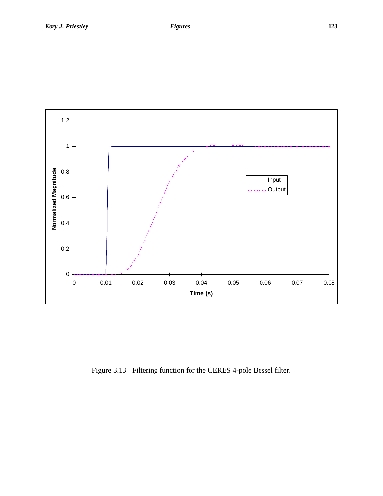

Figure 3.13 Filtering function for the CERES 4-pole Bessel filter.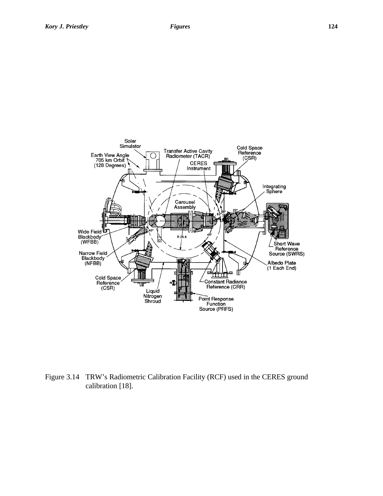

Figure 3.14 TRW's Radiometric Calibration Facility (RCF) used in the CERES ground calibration [18].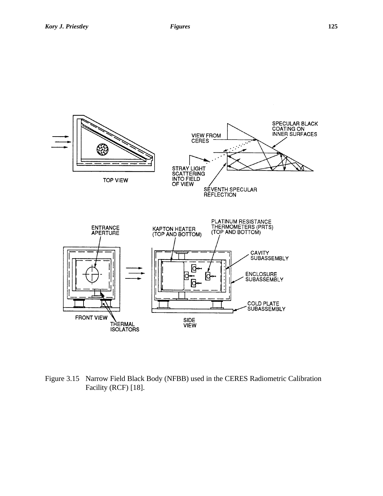

Figure 3.15 Narrow Field Black Body (NFBB) used in the CERES Radiometric Calibration Facility (RCF) [18].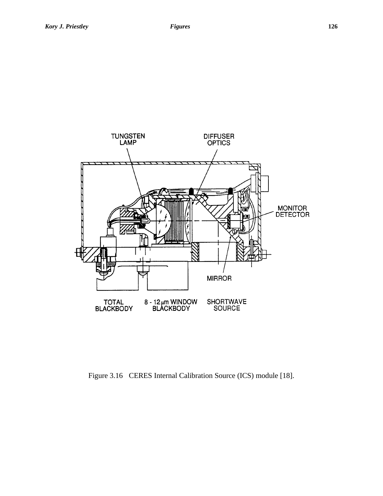

Figure 3.16 CERES Internal Calibration Source (ICS) module [18].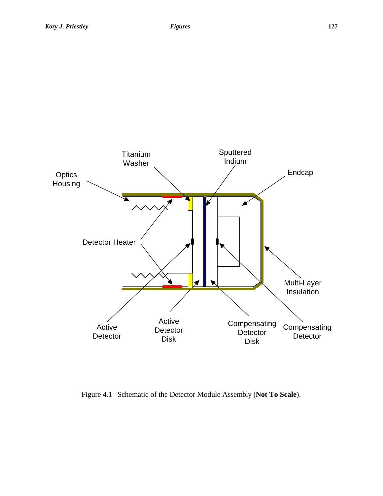

Figure 4.1 Schematic of the Detector Module Assembly (**Not To Scale**).